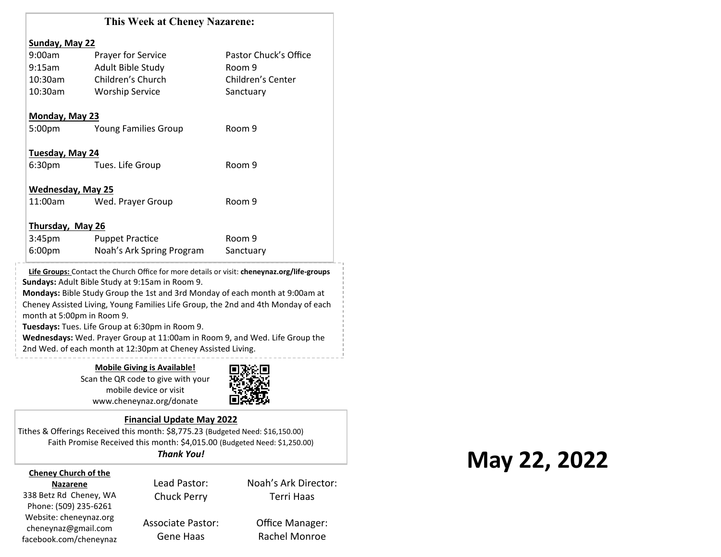|                            | <b>This Week at Cheney Nazarene:</b>                                                        |                        |
|----------------------------|---------------------------------------------------------------------------------------------|------------------------|
| Sunday, May 22             |                                                                                             |                        |
| 9:00am                     | Prayer for Service                                                                          | Pastor Chuck's Office  |
| 9:15am                     | Adult Bible Study                                                                           | Room 9                 |
| 10:30am                    | Children's Church                                                                           | Children's Center      |
| 10:30am                    | <b>Worship Service</b>                                                                      | Sanctuary              |
| Monday, May 23             |                                                                                             |                        |
| 5:00 <sub>pm</sub>         | <b>Young Families Group</b>                                                                 | Room 9                 |
| Tuesday, May 24            |                                                                                             |                        |
| 6:30 <sub>pm</sub>         | Tues. Life Group                                                                            | Room 9                 |
| <b>Wednesday, May 25</b>   |                                                                                             |                        |
| 11:00am                    | Wed. Prayer Group                                                                           | Room 9                 |
| <b>Thursday, May 26</b>    |                                                                                             |                        |
| 3:45 <sub>pm</sub>         | <b>Puppet Practice</b>                                                                      | Room 9                 |
| 6:00 <sub>pm</sub>         | Noah's Ark Spring Program                                                                   | Sanctuary              |
|                            | Life Groups: Contact the Church Office for more details or visit: cheneynaz.org/life-groups |                        |
|                            | Sundays: Adult Bible Study at 9:15am in Room 9.                                             |                        |
|                            | Mondays: Bible Study Group the 1st and 3rd Monday of each month at 9:00am at                |                        |
| month at 5:00pm in Room 9. | Cheney Assisted Living, Young Families Life Group, the 2nd and 4th Monday of each           |                        |
|                            | Tuesdays: Tues. Life Group at 6:30pm in Room 9.                                             |                        |
|                            | Wednesdays: Wed. Prayer Group at 11:00am in Room 9, and Wed. Life Group the                 |                        |
|                            | 2nd Wed. of each month at 12:30pm at Cheney Assisted Living.                                |                        |
|                            |                                                                                             | ---------------------- |

**Mobile Giving is Available!** Scan the QR code to give with your mobile device or visit www.cheneynaz.org/donate



#### **Financial Update May 2022**

Tithes & Offerings Received this month: \$8,775.23 (Budgeted Need: \$16,150.00) Faith Promise Received this month: \$4,015.00 (Budgeted Need: \$1,250.00) *Thank You!*

#### **Cheney Church of the Nazarene**

338 Betz Rd Cheney, WA Phone: (509) 235-6261 Website: cheneynaz.org cheneynaz@gmail.com facebook.com/cheneynaz

Lead Pastor: Chuck Perry Associate Pastor:

Gene Haas

Terri Haas Office Manager:

Rachel Monroe

Noah's Ark Director:

# **May 22, 2022**